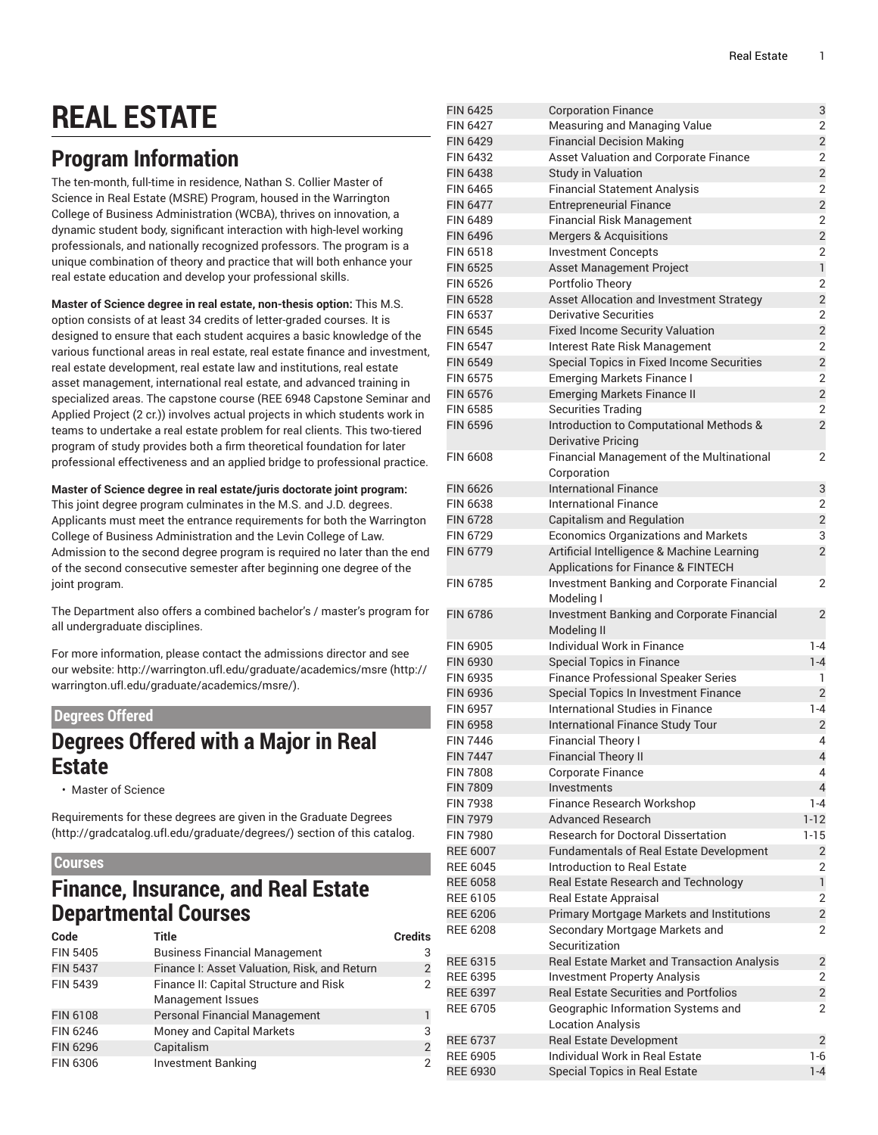# **REAL ESTATE**

# **Program Information**

The ten-month, full-time in residence, Nathan S. Collier Master of Science in Real Estate (MSRE) Program, housed in the Warrington College of Business Administration (WCBA), thrives on innovation, a dynamic student body, significant interaction with high-level working professionals, and nationally recognized professors. The program is a unique combination of theory and practice that will both enhance your real estate education and develop your professional skills.

**Master of Science degree in real estate, non-thesis option:** This M.S. option consists of at least 34 credits of letter-graded courses. It is designed to ensure that each student acquires a basic knowledge of the various functional areas in real estate, real estate finance and investment, real estate development, real estate law and institutions, real estate asset management, international real estate, and advanced training in specialized areas. The capstone course (REE 6948 Capstone Seminar and Applied Project (2 cr.)) involves actual projects in which students work in teams to undertake a real estate problem for real clients. This two-tiered program of study provides both a firm theoretical foundation for later professional effectiveness and an applied bridge to professional practice.

**Master of Science degree in real estate/juris doctorate joint program:** This joint degree program culminates in the M.S. and J.D. degrees. Applicants must meet the entrance requirements for both the Warrington College of Business Administration and the Levin College of Law. Admission to the second degree program is required no later than the end of the second consecutive semester after beginning one degree of the joint program.

The Department also offers a combined bachelor's / master's program for all undergraduate disciplines.

For more information, please contact the admissions director and see our website: [http://warrington.ufl.edu/graduate/academics/msre](http://warrington.ufl.edu/graduate/academics/msre/) ([http://](http://warrington.ufl.edu/graduate/academics/msre/) [warrington.ufl.edu/graduate/academics/msre/](http://warrington.ufl.edu/graduate/academics/msre/)).

### **Degrees Offered**

### **Degrees Offered with a Major in Real Estate**

• Master of Science

Requirements for these degrees are given in the [Graduate](http://gradcatalog.ufl.edu/graduate/degrees/) Degrees ([http://gradcatalog.ufl.edu/graduate/degrees/\)](http://gradcatalog.ufl.edu/graduate/degrees/) section of this catalog.

### **Courses**

### **Finance, Insurance, and Real Estate Departmental Courses**

| Code            | <b>Title</b>                                 | <b>Credits</b> |
|-----------------|----------------------------------------------|----------------|
| <b>FIN 5405</b> | <b>Business Financial Management</b>         | 3              |
| <b>FIN 5437</b> | Finance I: Asset Valuation, Risk, and Return | $\overline{2}$ |
| <b>FIN 5439</b> | Finance II: Capital Structure and Risk       | $\overline{2}$ |
|                 | <b>Management Issues</b>                     |                |
| <b>FIN 6108</b> | <b>Personal Financial Management</b>         | 1              |
| FIN 6246        | Money and Capital Markets                    | 3              |
| <b>FIN 6296</b> | Capitalism                                   | $\overline{2}$ |
| FIN 6306        | <b>Investment Banking</b>                    | $\overline{2}$ |

| LUJ 0479        | Corporation Finance                          | J                       |
|-----------------|----------------------------------------------|-------------------------|
| <b>FIN 6427</b> | <b>Measuring and Managing Value</b>          | 2                       |
| <b>FIN 6429</b> | <b>Financial Decision Making</b>             | $\overline{2}$          |
| <b>FIN 6432</b> | <b>Asset Valuation and Corporate Finance</b> | 2                       |
| <b>FIN 6438</b> | <b>Study in Valuation</b>                    | $\overline{2}$          |
| FIN 6465        | <b>Financial Statement Analysis</b>          | $\overline{2}$          |
| <b>FIN 6477</b> | <b>Entrepreneurial Finance</b>               | $\overline{2}$          |
| <b>FIN 6489</b> | <b>Financial Risk Management</b>             | 2                       |
| <b>FIN 6496</b> | <b>Mergers &amp; Acquisitions</b>            | $\overline{c}$          |
| <b>FIN 6518</b> | <b>Investment Concepts</b>                   | 2                       |
| <b>FIN 6525</b> | Asset Management Project                     | $\mathbf{1}$            |
| <b>FIN 6526</b> | Portfolio Theory                             | $\overline{2}$          |
| <b>FIN 6528</b> |                                              | $\overline{2}$          |
| <b>FIN 6537</b> | Asset Allocation and Investment Strategy     |                         |
|                 | <b>Derivative Securities</b>                 | 2                       |
| <b>FIN 6545</b> | <b>Fixed Income Security Valuation</b>       | $\overline{2}$          |
| <b>FIN 6547</b> | Interest Rate Risk Management                | 2                       |
| <b>FIN 6549</b> | Special Topics in Fixed Income Securities    | $\overline{2}$          |
| <b>FIN 6575</b> | <b>Emerging Markets Finance I</b>            | $\overline{2}$          |
| <b>FIN 6576</b> | <b>Emerging Markets Finance II</b>           | $\overline{c}$          |
| <b>FIN 6585</b> | <b>Securities Trading</b>                    | 2                       |
| <b>FIN 6596</b> | Introduction to Computational Methods &      | $\overline{2}$          |
|                 | <b>Derivative Pricing</b>                    |                         |
| <b>FIN 6608</b> | Financial Management of the Multinational    | 2                       |
|                 | Corporation                                  |                         |
| <b>FIN 6626</b> | <b>International Finance</b>                 | 3                       |
| <b>FIN 6638</b> | <b>International Finance</b>                 | 2                       |
| <b>FIN 6728</b> | Capitalism and Regulation                    | $\overline{c}$          |
| <b>FIN 6729</b> | <b>Economics Organizations and Markets</b>   | 3                       |
| <b>FIN 6779</b> | Artificial Intelligence & Machine Learning   | $\overline{2}$          |
|                 | Applications for Finance & FINTECH           |                         |
| <b>FIN 6785</b> | Investment Banking and Corporate Financial   | 2                       |
|                 | Modeling I                                   |                         |
| <b>FIN 6786</b> |                                              | $\overline{2}$          |
|                 | Investment Banking and Corporate Financial   |                         |
|                 | Modeling II                                  |                         |
| <b>FIN 6905</b> | Individual Work in Finance                   | $1 - 4$                 |
| <b>FIN 6930</b> | <b>Special Topics in Finance</b>             | $1 - 4$                 |
| <b>FIN 6935</b> | <b>Finance Professional Speaker Series</b>   | 1                       |
| <b>FIN 6936</b> | Special Topics In Investment Finance         | $\overline{2}$          |
| <b>FIN 6957</b> | International Studies in Finance             | $1 - 4$                 |
| <b>FIN 6958</b> | International Finance Study Tour             | 2                       |
| <b>FIN 7446</b> | <b>Financial Theory I</b>                    | 4                       |
| <b>FIN 7447</b> | <b>Financial Theory II</b>                   | $\overline{\mathbf{4}}$ |
| <b>FIN 7808</b> | Corporate Finance                            | 4                       |
| <b>FIN 7809</b> | Investments                                  | $\overline{4}$          |
| <b>FIN 7938</b> | Finance Research Workshop                    | 1-4                     |
| <b>FIN 7979</b> | <b>Advanced Research</b>                     | $1 - 12$                |
| <b>FIN 7980</b> | <b>Research for Doctoral Dissertation</b>    | $1 - 15$                |
| <b>REE 6007</b> | Fundamentals of Real Estate Development      | $\overline{2}$          |
| <b>REE 6045</b> | Introduction to Real Estate                  | 2                       |
| <b>REE 6058</b> | Real Estate Research and Technology          | $\mathbf{1}$            |
| <b>REE 6105</b> | Real Estate Appraisal                        | $\overline{2}$          |
| <b>REE 6206</b> | Primary Mortgage Markets and Institutions    | $\overline{c}$          |
| <b>REE 6208</b> | Secondary Mortgage Markets and               | 2                       |
|                 | Securitization                               |                         |
| <b>REE 6315</b> | Real Estate Market and Transaction Analysis  | $\overline{2}$          |
| <b>REE 6395</b> | <b>Investment Property Analysis</b>          | 2                       |
| <b>REE 6397</b> | <b>Real Estate Securities and Portfolios</b> | $\overline{\mathbf{c}}$ |
|                 |                                              |                         |
| <b>REE 6705</b> | Geographic Information Systems and           | 2                       |
|                 | Location Analysis                            |                         |
| <b>REE 6737</b> | <b>Real Estate Development</b>               | $\overline{2}$          |
| <b>REE 6905</b> | Individual Work in Real Estate               | $1-6$                   |
| <b>REE 6930</b> | Special Topics in Real Estate                | $1 - 4$                 |
|                 |                                              |                         |

FIN 6425 Corporation Finance 3